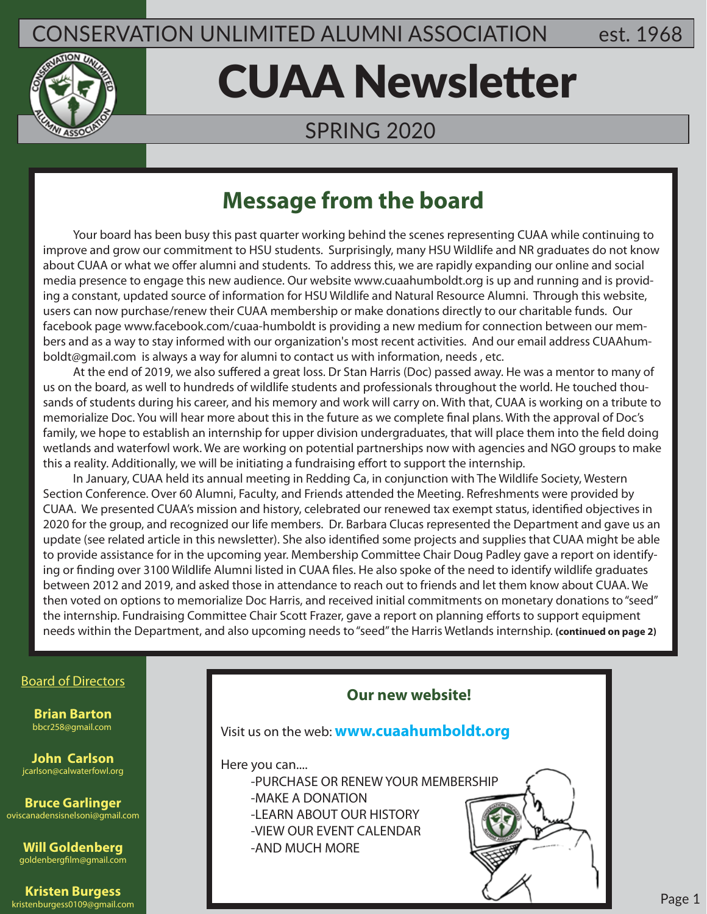### CONSERVATION UNLIMITED ALUMNI ASSOCIATION est. 1968



# CUAA Newsletter

#### SPRING 2020

### **Message from the board**

 Your board has been busy this past quarter working behind the scenes representing CUAA while continuing to improve and grow our commitment to HSU students. Surprisingly, many HSU Wildlife and NR graduates do not know about CUAA or what we offer alumni and students. To address this, we are rapidly expanding our online and social media presence to engage this new audience. Our website www.cuaahumboldt.org is up and running and is providing a constant, updated source of information for HSU Wildlife and Natural Resource Alumni. Through this website, users can now purchase/renew their CUAA membership or make donations directly to our charitable funds. Our facebook page www.facebook.com/cuaa-humboldt is providing a new medium for connection between our members and as a way to stay informed with our organization's most recent activities. And our email address CUAAhumboldt@gmail.com is always a way for alumni to contact us with information, needs , etc.

 At the end of 2019, we also suffered a great loss. Dr Stan Harris (Doc) passed away. He was a mentor to many of us on the board, as well to hundreds of wildlife students and professionals throughout the world. He touched thousands of students during his career, and his memory and work will carry on. With that, CUAA is working on a tribute to memorialize Doc. You will hear more about this in the future as we complete final plans. With the approval of Doc's family, we hope to establish an internship for upper division undergraduates, that will place them into the field doing wetlands and waterfowl work. We are working on potential partnerships now with agencies and NGO groups to make this a reality. Additionally, we will be initiating a fundraising effort to support the internship.

 In January, CUAA held its annual meeting in Redding Ca, in conjunction with The Wildlife Society, Western Section Conference. Over 60 Alumni, Faculty, and Friends attended the Meeting. Refreshments were provided by CUAA. We presented CUAA's mission and history, celebrated our renewed tax exempt status, identified objectives in 2020 for the group, and recognized our life members. Dr. Barbara Clucas represented the Department and gave us an update (see related article in this newsletter). She also identified some projects and supplies that CUAA might be able to provide assistance for in the upcoming year. Membership Committee Chair Doug Padley gave a report on identifying or finding over 3100 Wildlife Alumni listed in CUAA files. He also spoke of the need to identify wildlife graduates between 2012 and 2019, and asked those in attendance to reach out to friends and let them know about CUAA. We then voted on options to memorialize Doc Harris, and received initial commitments on monetary donations to "seed" the internship. Fundraising Committee Chair Scott Frazer, gave a report on planning efforts to support equipment needs within the Department, and also upcoming needs to "seed" the Harris Wetlands internship. **(continued on page 2)**

#### Board of Directors

**Brian Barton** bbcr258@gmail.com

**John Carlson** jcarlson@calwaterfowl.org

**Bruce Garlinger** oviscanadensisnelsoni@gmail.com

**Will Goldenberg** goldenbergfilm@gmail.com

**Kristen Burgess** kristenburgess0109@gmail.com

## **Our new website!** Visit us on the web: **www.cuaahumboldt.org** Here you can.... -PURCHASE OR RENEW YOUR MEMBERSHIP -MAKE A DONATION -LEARN ABOUT OUR HISTORY -VIEW OUR EVENT CALENDAR -AND MUCH MORE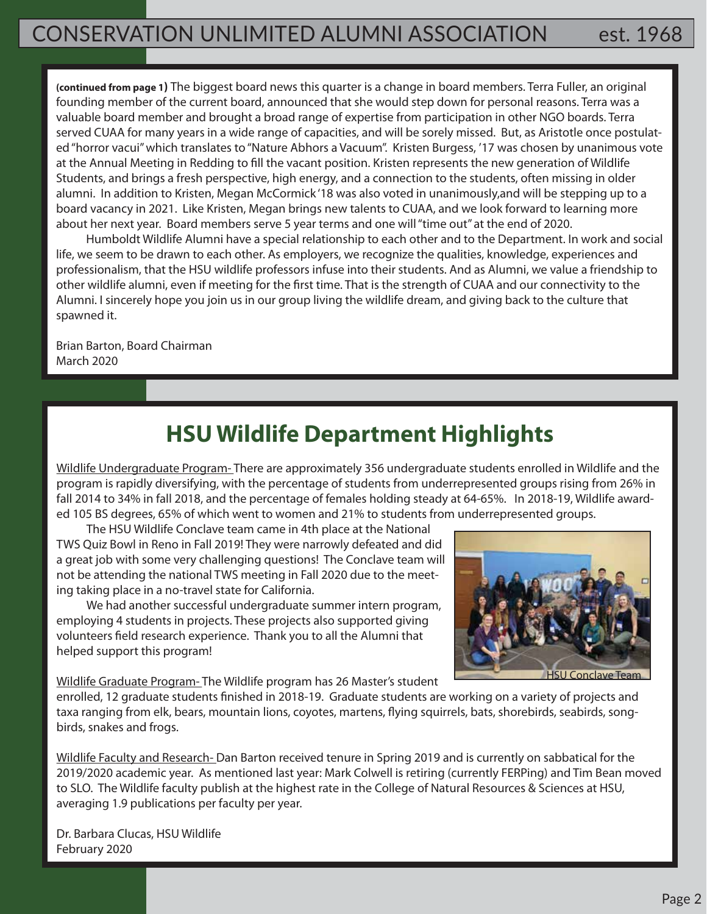**(continued from page 1)** The biggest board news this quarter is a change in board members. Terra Fuller, an original founding member of the current board, announced that she would step down for personal reasons. Terra was a valuable board member and brought a broad range of expertise from participation in other NGO boards. Terra served CUAA for many years in a wide range of capacities, and will be sorely missed. But, as Aristotle once postulated "horror vacui" which translates to "Nature Abhors a Vacuum". Kristen Burgess, '17 was chosen by unanimous vote at the Annual Meeting in Redding to fill the vacant position. Kristen represents the new generation of Wildlife Students, and brings a fresh perspective, high energy, and a connection to the students, often missing in older alumni. In addition to Kristen, Megan McCormick '18 was also voted in unanimously,and will be stepping up to a board vacancy in 2021. Like Kristen, Megan brings new talents to CUAA, and we look forward to learning more about her next year. Board members serve 5 year terms and one will "time out" at the end of 2020.

 Humboldt Wildlife Alumni have a special relationship to each other and to the Department. In work and social life, we seem to be drawn to each other. As employers, we recognize the qualities, knowledge, experiences and professionalism, that the HSU wildlife professors infuse into their students. And as Alumni, we value a friendship to other wildlife alumni, even if meeting for the first time. That is the strength of CUAA and our connectivity to the Alumni. I sincerely hope you join us in our group living the wildlife dream, and giving back to the culture that spawned it.

Brian Barton, Board Chairman March 2020

### **HSU Wildlife Department Highlights**

Wildlife Undergraduate Program- There are approximately 356 undergraduate students enrolled in Wildlife and the program is rapidly diversifying, with the percentage of students from underrepresented groups rising from 26% in fall 2014 to 34% in fall 2018, and the percentage of females holding steady at 64-65%. In 2018-19, Wildlife awarded 105 BS degrees, 65% of which went to women and 21% to students from underrepresented groups.

 The HSU Wildlife Conclave team came in 4th place at the National TWS Quiz Bowl in Reno in Fall 2019! They were narrowly defeated and did a great job with some very challenging questions! The Conclave team will not be attending the national TWS meeting in Fall 2020 due to the meeting taking place in a no-travel state for California.

 We had another successful undergraduate summer intern program, employing 4 students in projects. These projects also supported giving volunteers field research experience. Thank you to all the Alumni that helped support this program!



Wildlife Graduate Program- The Wildlife program has 26 Master's student

enrolled, 12 graduate students finished in 2018-19. Graduate students are working on a variety of projects and taxa ranging from elk, bears, mountain lions, coyotes, martens, flying squirrels, bats, shorebirds, seabirds, songbirds, snakes and frogs.

Wildlife Faculty and Research- Dan Barton received tenure in Spring 2019 and is currently on sabbatical for the 2019/2020 academic year. As mentioned last year: Mark Colwell is retiring (currently FERPing) and Tim Bean moved to SLO. The Wildlife faculty publish at the highest rate in the College of Natural Resources & Sciences at HSU, averaging 1.9 publications per faculty per year.

Dr. Barbara Clucas, HSU Wildlife February 2020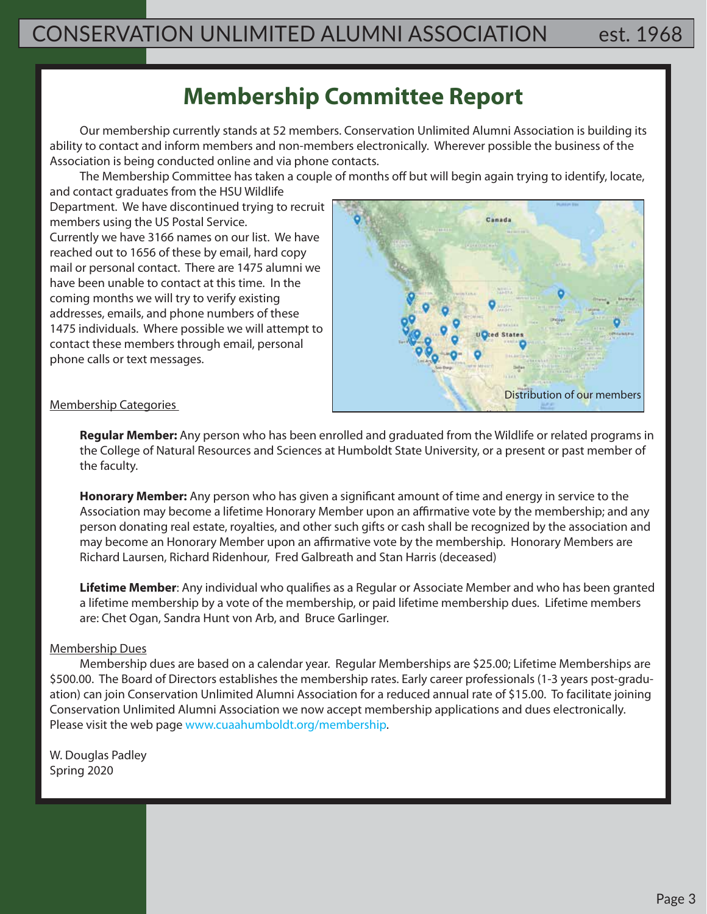### **Membership Committee Report**

 Our membership currently stands at 52 members. Conservation Unlimited Alumni Association is building its ability to contact and inform members and non-members electronically. Wherever possible the business of the Association is being conducted online and via phone contacts.

 The Membership Committee has taken a couple of months off but will begin again trying to identify, locate, and contact graduates from the HSU Wildlife

Department. We have discontinued trying to recruit members using the US Postal Service. Currently we have 3166 names on our list. We have reached out to 1656 of these by email, hard copy mail or personal contact. There are 1475 alumni we have been unable to contact at this time. In the coming months we will try to verify existing addresses, emails, and phone numbers of these 1475 individuals. Where possible we will attempt to contact these members through email, personal phone calls or text messages.



#### Membership Categories

 **Regular Member:** Any person who has been enrolled and graduated from the Wildlife or related programs in the College of Natural Resources and Sciences at Humboldt State University, or a present or past member of the faculty.

 **Honorary Member:** Any person who has given a significant amount of time and energy in service to the Association may become a lifetime Honorary Member upon an affirmative vote by the membership; and any person donating real estate, royalties, and other such gifts or cash shall be recognized by the association and may become an Honorary Member upon an affirmative vote by the membership. Honorary Members are Richard Laursen, Richard Ridenhour, Fred Galbreath and Stan Harris (deceased)

 **Lifetime Member**: Any individual who qualifies as a Regular or Associate Member and who has been granted a lifetime membership by a vote of the membership, or paid lifetime membership dues. Lifetime members are: Chet Ogan, Sandra Hunt von Arb, and Bruce Garlinger.

#### Membership Dues

 Membership dues are based on a calendar year. Regular Memberships are \$25.00; Lifetime Memberships are \$500.00. The Board of Directors establishes the membership rates. Early career professionals (1-3 years post-graduation) can join Conservation Unlimited Alumni Association for a reduced annual rate of \$15.00. To facilitate joining Conservation Unlimited Alumni Association we now accept membership applications and dues electronically. Please visit the web page www.cuaahumboldt.org/membership.

W. Douglas Padley Spring 2020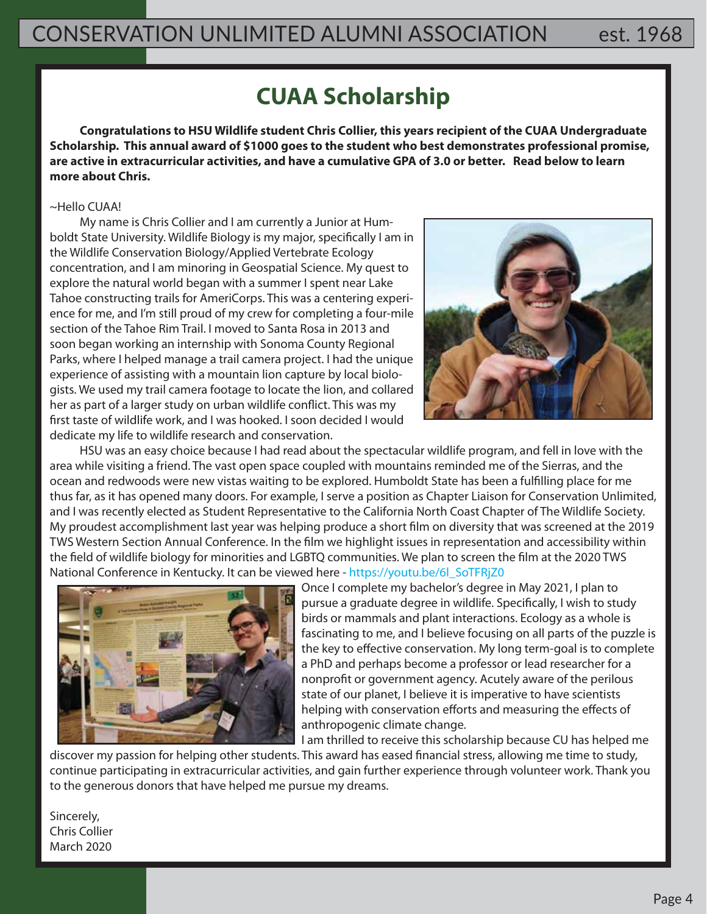### **CUAA Scholarship**

**Congratulations to HSU Wildlife student Chris Collier, this years recipient of the CUAA Undergraduate Scholarship. This annual award of \$1000 goes to the student who best demonstrates professional promise, are active in extracurricular activities, and have a cumulative GPA of 3.0 or better. Read below to learn more about Chris.**

#### ~Hello CUAA!

 My name is Chris Collier and I am currently a Junior at Humboldt State University. Wildlife Biology is my major, specifically I am in the Wildlife Conservation Biology/Applied Vertebrate Ecology concentration, and I am minoring in Geospatial Science. My quest to explore the natural world began with a summer I spent near Lake Tahoe constructing trails for AmeriCorps. This was a centering experience for me, and I'm still proud of my crew for completing a four-mile section of the Tahoe Rim Trail. I moved to Santa Rosa in 2013 and soon began working an internship with Sonoma County Regional Parks, where I helped manage a trail camera project. I had the unique experience of assisting with a mountain lion capture by local biologists. We used my trail camera footage to locate the lion, and collared her as part of a larger study on urban wildlife conflict. This was my first taste of wildlife work, and I was hooked. I soon decided I would dedicate my life to wildlife research and conservation.



 HSU was an easy choice because I had read about the spectacular wildlife program, and fell in love with the area while visiting a friend. The vast open space coupled with mountains reminded me of the Sierras, and the ocean and redwoods were new vistas waiting to be explored. Humboldt State has been a fulfilling place for me thus far, as it has opened many doors. For example, I serve a position as Chapter Liaison for Conservation Unlimited, and I was recently elected as Student Representative to the California North Coast Chapter of The Wildlife Society. My proudest accomplishment last year was helping produce a short film on diversity that was screened at the 2019 TWS Western Section Annual Conference. In the film we highlight issues in representation and accessibility within the field of wildlife biology for minorities and LGBTQ communities. We plan to screen the film at the 2020 TWS National Conference in Kentucky. It can be viewed here - https://youtu.be/6l\_SoTFRjZ0



Once I complete my bachelor's degree in May 2021, I plan to pursue a graduate degree in wildlife. Specifically, I wish to study birds or mammals and plant interactions. Ecology as a whole is fascinating to me, and I believe focusing on all parts of the puzzle is the key to effective conservation. My long term-goal is to complete a PhD and perhaps become a professor or lead researcher for a nonprofit or government agency. Acutely aware of the perilous state of our planet, I believe it is imperative to have scientists helping with conservation efforts and measuring the effects of anthropogenic climate change.

I am thrilled to receive this scholarship because CU has helped me discover my passion for helping other students. This award has eased financial stress, allowing me time to study, continue participating in extracurricular activities, and gain further experience through volunteer work. Thank you to the generous donors that have helped me pursue my dreams.

Sincerely, Chris Collier March 2020